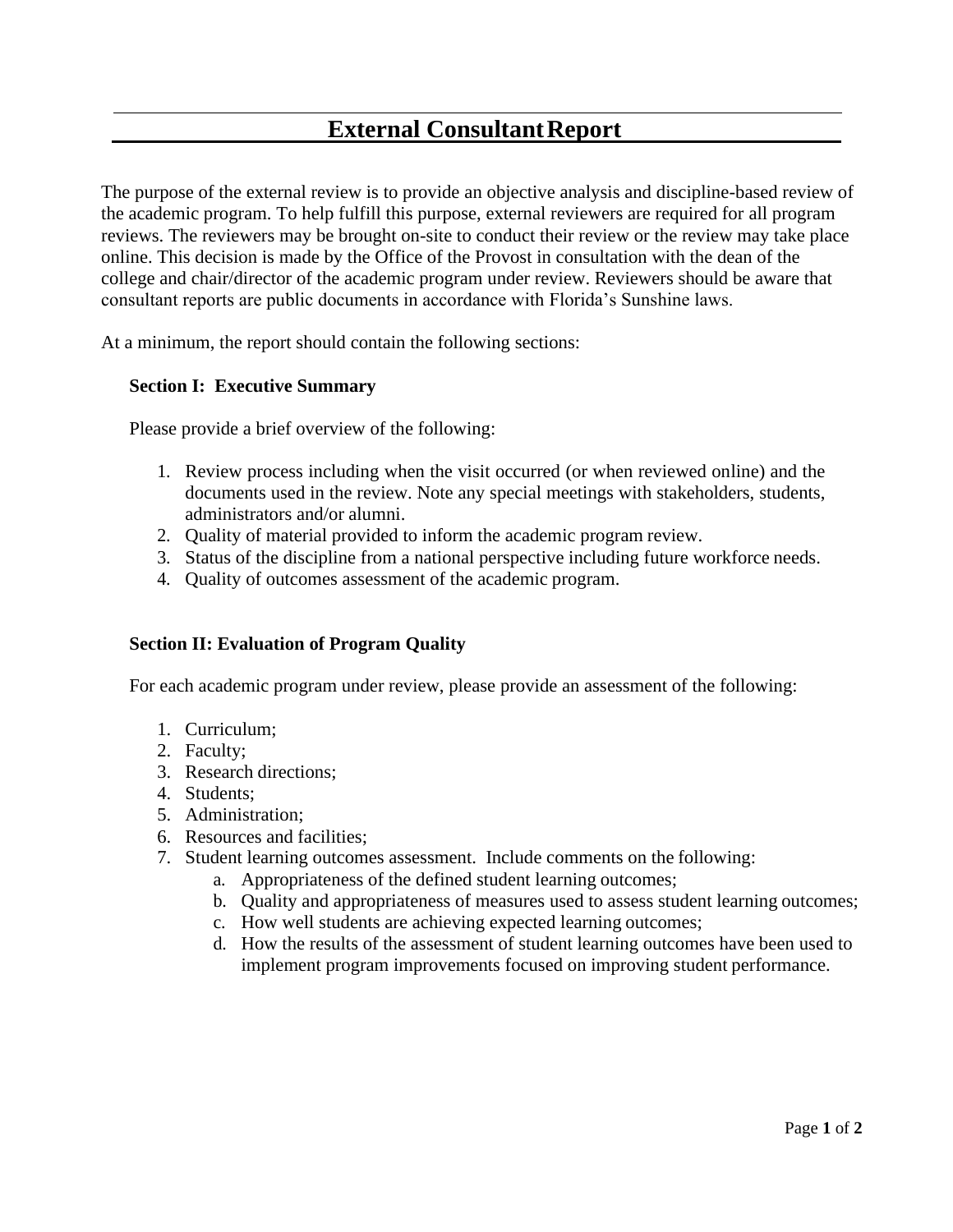# **External ConsultantReport**

The purpose of the external review is to provide an objective analysis and discipline-based review of the academic program. To help fulfill this purpose, external reviewers are required for all program reviews. The reviewers may be brought on-site to conduct their review or the review may take place online. This decision is made by the Office of the Provost in consultation with the dean of the college and chair/director of the academic program under review. Reviewers should be aware that consultant reports are public documents in accordance with Florida's Sunshine laws.

At a minimum, the report should contain the following sections:

### **Section I: Executive Summary**

Please provide a brief overview of the following:

- 1. Review process including when the visit occurred (or when reviewed online) and the documents used in the review. Note any special meetings with stakeholders, students, administrators and/or alumni.
- 2. Quality of material provided to inform the academic program review.
- 3. Status of the discipline from a national perspective including future workforce needs.
- 4. Quality of outcomes assessment of the academic program.

#### **Section II: Evaluation of Program Quality**

For each academic program under review, please provide an assessment of the following:

- 1. Curriculum;
- 2. Faculty;
- 3. Research directions;
- 4. Students;
- 5. Administration;
- 6. Resources and facilities;
- 7. Student learning outcomes assessment. Include comments on the following:
	- a. Appropriateness of the defined student learning outcomes;
	- b. Quality and appropriateness of measures used to assess student learning outcomes;
	- c. How well students are achieving expected learning outcomes;
	- d. How the results of the assessment of student learning outcomes have been used to implement program improvements focused on improving student performance.